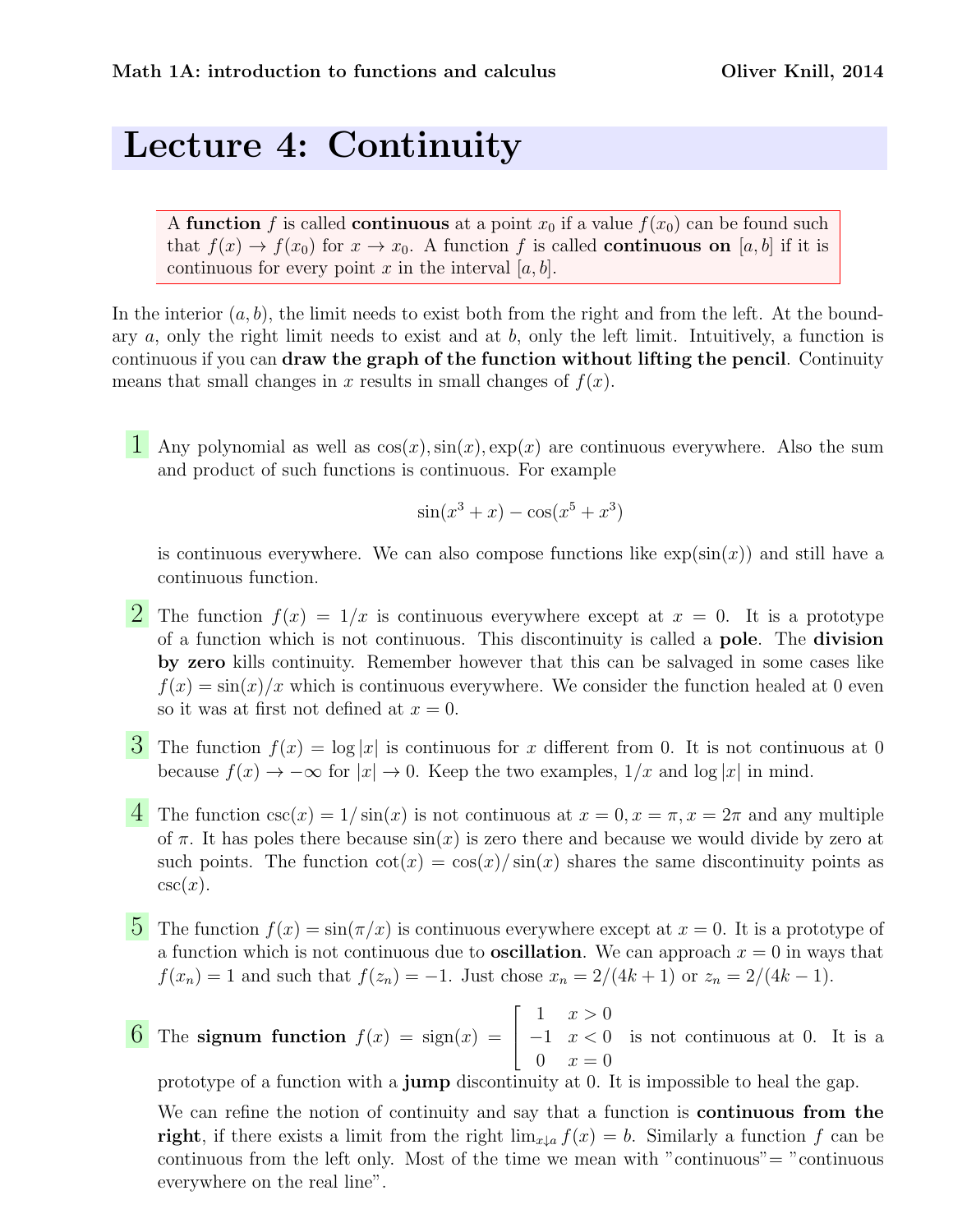## Lecture 4: Continuity

A function f is called continuous at a point  $x_0$  if a value  $f(x_0)$  can be found such that  $f(x) \to f(x_0)$  for  $x \to x_0$ . A function f is called **continuous on** [a, b] if it is continuous for every point x in the interval  $[a, b]$ .

In the interior  $(a, b)$ , the limit needs to exist both from the right and from the left. At the boundary a, only the right limit needs to exist and at b, only the left limit. Intuitively, a function is continuous if you can draw the graph of the function without lifting the pencil. Continuity means that small changes in x results in small changes of  $f(x)$ .

1 Any polynomial as well as  $\cos(x)$ ,  $\sin(x)$ ,  $\exp(x)$  are continuous everywhere. Also the sum and product of such functions is continuous. For example

$$
\sin(x^3 + x) - \cos(x^5 + x^3)
$$

is continuous everywhere. We can also compose functions like  $\exp(\sin(x))$  and still have a continuous function.

- **2** The function  $f(x) = 1/x$  is continuous everywhere except at  $x = 0$ . It is a prototype of a function which is not continuous. This discontinuity is called a pole. The division by zero kills continuity. Remember however that this can be salvaged in some cases like  $f(x) = \sin(x)/x$  which is continuous everywhere. We consider the function healed at 0 even so it was at first not defined at  $x = 0$ .
- $\mathbf{\dot{3}}$  The function  $f(x) = \log |x|$  is continuous for x different from 0. It is not continuous at 0 because  $f(x) \to -\infty$  for  $|x| \to 0$ . Keep the two examples,  $1/x$  and  $\log |x|$  in mind.
- 4 The function  $\csc(x) = 1/\sin(x)$  is not continuous at  $x = 0, x = \pi, x = 2\pi$  and any multiple of  $\pi$ . It has poles there because  $sin(x)$  is zero there and because we would divide by zero at such points. The function  $cot(x) = cos(x)/sin(x)$  shares the same discontinuity points as  $csc(x)$ .
- **5** The function  $f(x) = \sin(\pi/x)$  is continuous everywhere except at  $x = 0$ . It is a prototype of a function which is not continuous due to **oscillation**. We can approach  $x = 0$  in ways that  $f(x_n) = 1$  and such that  $f(z_n) = -1$ . Just chose  $x_n = 2/(4k+1)$  or  $z_n = 2/(4k-1)$ .
- 6 The signum function  $f(x) = sign(x) =$  $\lceil$  $\Big\}$ 1  $x > 0$  $-1 \quad x < 0$  $0 \t x = 0$ is not continuous at 0. It is a

prototype of a function with a jump discontinuity at 0. It is impossible to heal the gap.

We can refine the notion of continuity and say that a function is **continuous from the** right, if there exists a limit from the right  $\lim_{x\downarrow a} f(x) = b$ . Similarly a function f can be continuous from the left only. Most of the time we mean with "continuous"= "continuous everywhere on the real line".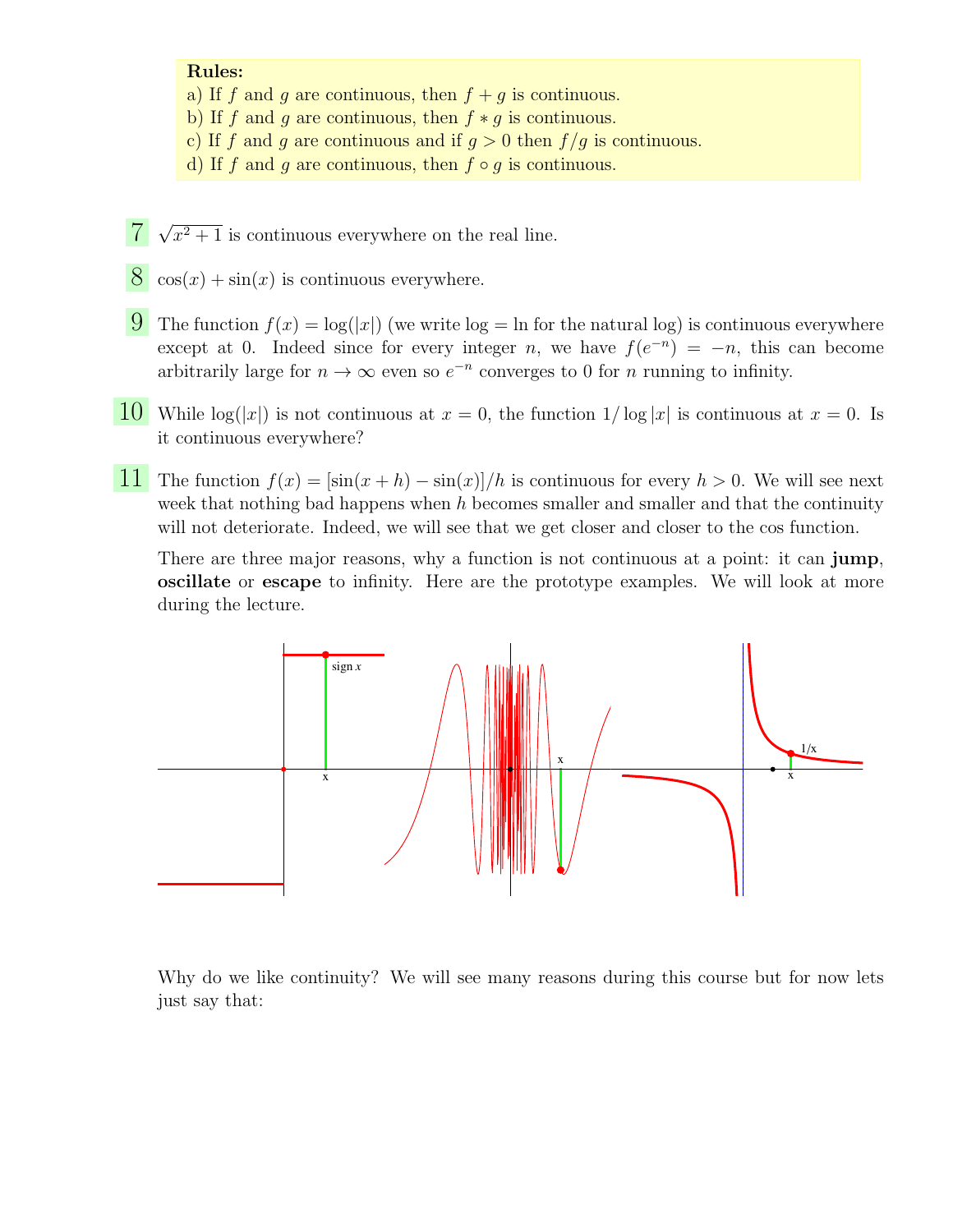## Rules:

- a) If f and g are continuous, then  $f + g$  is continuous.
- b) If f and g are continuous, then  $f * g$  is continuous.
- c) If f and g are continuous and if  $g > 0$  then  $f/g$  is continuous.
- d) If f and g are continuous, then  $f \circ g$  is continuous.
- 7 √  $x^2 + 1$  is continuous everywhere on the real line.
- $8 \cos(x) + \sin(x)$  is continuous everywhere.
- 9 The function  $f(x) = \log(|x|)$  (we write  $\log = \ln$  for the natural log) is continuous everywhere except at 0. Indeed since for every integer n, we have  $f(e^{-n}) = -n$ , this can become arbitrarily large for  $n \to \infty$  even so  $e^{-n}$  converges to 0 for *n* running to infinity.
- 10 While  $\log(|x|)$  is not continuous at  $x = 0$ , the function  $1/\log |x|$  is continuous at  $x = 0$ . Is it continuous everywhere?
- 11 The function  $f(x) = \frac{\sin(x+h) \sin(x)}{h}$  is continuous for every  $h > 0$ . We will see next week that nothing bad happens when  $h$  becomes smaller and smaller and that the continuity will not deteriorate. Indeed, we will see that we get closer and closer to the cos function.

There are three major reasons, why a function is not continuous at a point: it can **jump**, oscillate or escape to infinity. Here are the prototype examples. We will look at more during the lecture.



Why do we like continuity? We will see many reasons during this course but for now lets just say that: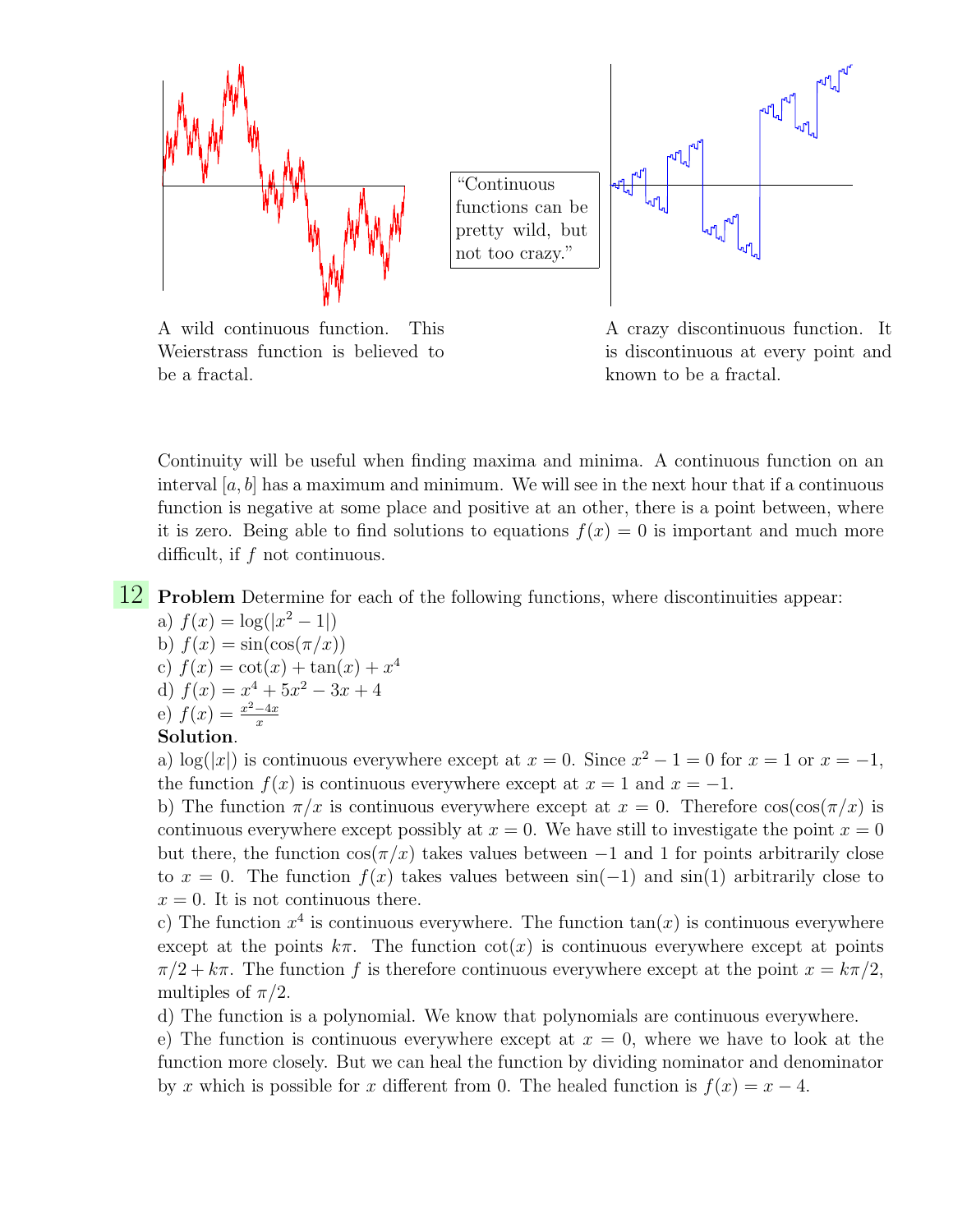

A wild continuous function. This Weierstrass function is believed to be a fractal.

A crazy discontinuous function. It is discontinuous at every point and known to be a fractal.

Continuity will be useful when finding maxima and minima. A continuous function on an interval  $[a, b]$  has a maximum and minimum. We will see in the next hour that if a continuous function is negative at some place and positive at an other, there is a point between, where it is zero. Being able to find solutions to equations  $f(x) = 0$  is important and much more difficult, if f not continuous.

12 Problem Determine for each of the following functions, where discontinuities appear:

- a)  $f(x) = \log(|x^2 1|)$
- b)  $f(x) = \sin(\cos(\pi/x))$
- c)  $f(x) = \cot(x) + \tan(x) + x^4$
- d)  $f(x) = x^4 + 5x^2 3x + 4$
- e)  $f(x) = \frac{x^2-4x}{x}$ x

## Solution.

a)  $\log(|x|)$  is continuous everywhere except at  $x = 0$ . Since  $x^2 - 1 = 0$  for  $x = 1$  or  $x = -1$ , the function  $f(x)$  is continuous everywhere except at  $x = 1$  and  $x = -1$ .

b) The function  $\pi/x$  is continuous everywhere except at  $x = 0$ . Therefore  $\cos(\cos(\pi/x))$  is continuous everywhere except possibly at  $x = 0$ . We have still to investigate the point  $x = 0$ but there, the function  $\cos(\pi/x)$  takes values between  $-1$  and 1 for points arbitrarily close to  $x = 0$ . The function  $f(x)$  takes values between  $sin(-1)$  and  $sin(1)$  arbitrarily close to  $x = 0$ . It is not continuous there.

c) The function  $x^4$  is continuous everywhere. The function  $tan(x)$  is continuous everywhere except at the points  $k\pi$ . The function  $\cot(x)$  is continuous everywhere except at points  $\pi/2 + k\pi$ . The function f is therefore continuous everywhere except at the point  $x = k\pi/2$ , multiples of  $\pi/2$ .

d) The function is a polynomial. We know that polynomials are continuous everywhere.

e) The function is continuous everywhere except at  $x = 0$ , where we have to look at the function more closely. But we can heal the function by dividing nominator and denominator by x which is possible for x different from 0. The healed function is  $f(x) = x - 4$ .